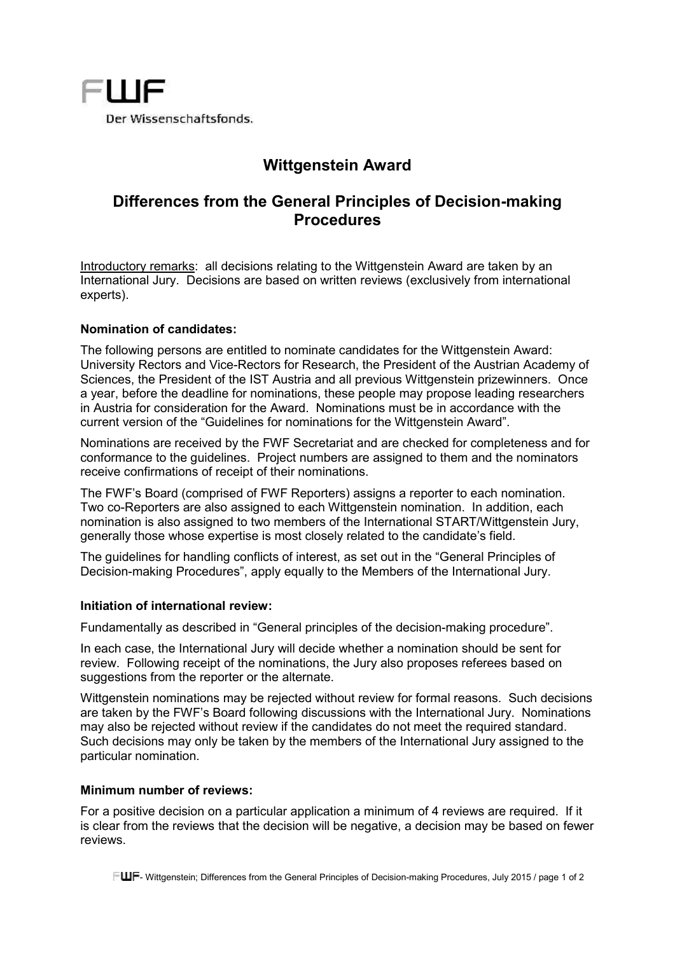

# **Wittgenstein Award**

## **Differences from the General Principles of Decision-making Procedures**

Introductory remarks: all decisions relating to the Wittgenstein Award are taken by an International Jury. Decisions are based on written reviews (exclusively from international experts).

### **Nomination of candidates:**

The following persons are entitled to nominate candidates for the Wittgenstein Award: University Rectors and Vice-Rectors for Research, the President of the Austrian Academy of Sciences, the President of the IST Austria and all previous Wittgenstein prizewinners. Once a year, before the deadline for nominations, these people may propose leading researchers in Austria for consideration for the Award. Nominations must be in accordance with the current version of the "Guidelines for nominations for the Wittgenstein Award".

Nominations are received by the FWF Secretariat and are checked for completeness and for conformance to the guidelines. Project numbers are assigned to them and the nominators receive confirmations of receipt of their nominations.

The FWF's Board (comprised of FWF Reporters) assigns a reporter to each nomination. Two co-Reporters are also assigned to each Wittgenstein nomination. In addition, each nomination is also assigned to two members of the International START/Wittgenstein Jury, generally those whose expertise is most closely related to the candidate's field.

The guidelines for handling conflicts of interest, as set out in the "General Principles of Decision-making Procedures", apply equally to the Members of the International Jury.

### **Initiation of international review:**

Fundamentally as described in "General principles of the decision-making procedure".

In each case, the International Jury will decide whether a nomination should be sent for review. Following receipt of the nominations, the Jury also proposes referees based on suggestions from the reporter or the alternate.

Wittgenstein nominations may be rejected without review for formal reasons. Such decisions are taken by the FWF's Board following discussions with the International Jury. Nominations may also be rejected without review if the candidates do not meet the required standard. Such decisions may only be taken by the members of the International Jury assigned to the particular nomination.

### **Minimum number of reviews:**

For a positive decision on a particular application a minimum of 4 reviews are required. If it is clear from the reviews that the decision will be negative, a decision may be based on fewer reviews.